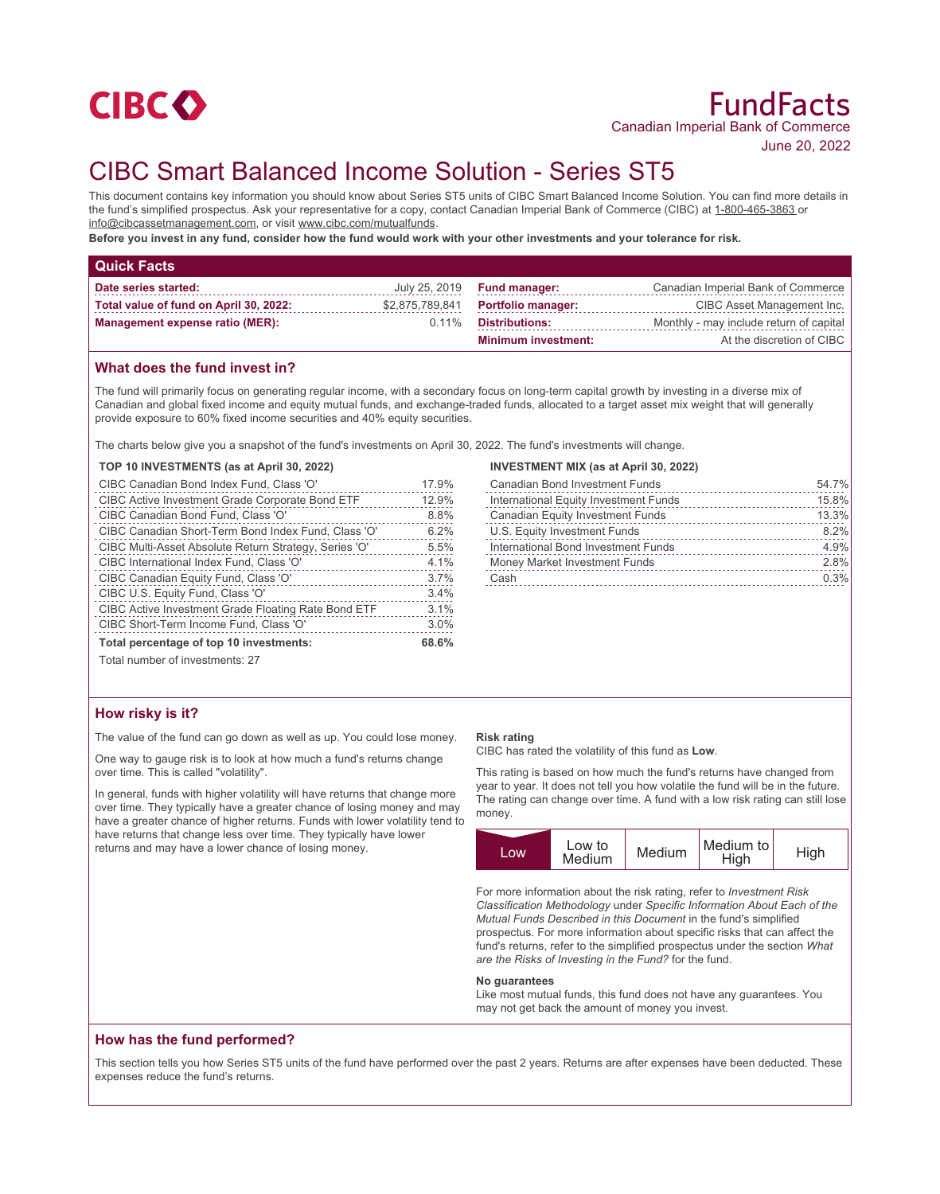

June 20, 2022

# CIBC Smart Balanced Income Solution - Series ST5

This document contains key information you should know about Series ST5 units of CIBC Smart Balanced Income Solution. You can find more details in the fund's simplified prospectus. Ask your representative for a copy, contact Canadian Imperial Bank of Commerce (CIBC) at 1-800-465-3863 or info@cibcassetmanagement.com, or visit www.cibc.com/mutualfunds.

**Before you invest in any fund, consider how the fund would work with your other investments and your tolerance for risk.**

| <b>Quick Facts</b>                     |                 |                            |                                         |
|----------------------------------------|-----------------|----------------------------|-----------------------------------------|
| Date series started:                   | July 25, 2019   | <b>Fund manager:</b>       | Canadian Imperial Bank of Commerce      |
| Total value of fund on April 30, 2022: | \$2,875,789,841 | <b>Portfolio manager:</b>  | CIBC Asset Management Inc.              |
| Management expense ratio (MER):        | $0.11\%$        | <b>Distributions:</b>      | Monthly - may include return of capital |
|                                        |                 | <b>Minimum investment:</b> | At the discretion of CIBC               |

## **What does the fund invest in?**

The fund will primarily focus on generating regular income, with a secondary focus on long-term capital growth by investing in a diverse mix of Canadian and global fixed income and equity mutual funds, and exchange-traded funds, allocated to a target asset mix weight that will generally provide exposure to 60% fixed income securities and 40% equity securities.

The charts below give you a snapshot of the fund's investments on April 30, 2022. The fund's investments will change.

#### **TOP 10 INVESTMENTS (as at April 30, 2022)**

| CIBC Canadian Bond Index Fund, Class 'O'              | 17.9% |
|-------------------------------------------------------|-------|
| CIBC Active Investment Grade Corporate Bond ETF       | 12.9% |
| CIBC Canadian Bond Fund, Class 'O'                    | 8.8%  |
| CIBC Canadian Short-Term Bond Index Fund, Class 'O'   | 6.2%  |
| CIBC Multi-Asset Absolute Return Strategy, Series 'O' | 5.5%  |
| CIBC International Index Fund, Class 'O'              | 4.1%  |
| CIBC Canadian Equity Fund, Class 'O'                  | 3.7%  |
| CIBC U.S. Equity Fund, Class 'O'                      | 3.4%  |
| CIBC Active Investment Grade Floating Rate Bond ETF   | 3.1%  |
| CIBC Short-Term Income Fund, Class 'O'                | 3.0%  |
| Total percentage of top 10 investments:               | 68.6% |
|                                                       |       |

## **INVESTMENT MIX (as at April 30, 2022)**

| <b>Canadian Bond Investment Funds</b>   | 54.7% |
|-----------------------------------------|-------|
| International Equity Investment Funds   | 15.8% |
| <b>Canadian Equity Investment Funds</b> | 13.3% |
| U.S. Equity Investment Funds            | 8.2%  |
| International Bond Investment Funds     | 4.9%  |
| <b>Money Market Investment Funds</b>    | 2.8%  |
| Cash                                    | 0.3%  |
|                                         |       |

Total number of investments: 27

#### **How risky is it?**

The value of the fund can go down as well as up. You could lose money.

One way to gauge risk is to look at how much a fund's returns change over time. This is called "volatility".

In general, funds with higher volatility will have returns that change more over time. They typically have a greater chance of losing money and may have a greater chance of higher returns. Funds with lower volatility tend to have returns that change less over time. They typically have lower returns and may have a lower chance of losing money.

#### **Risk rating**

CIBC has rated the volatility of this fund as **Low**.

This rating is based on how much the fund's returns have changed from year to year. It does not tell you how volatile the fund will be in the future. The rating can change over time. A fund with a low risk rating can still lose money.



For more information about the risk rating, refer to *Investment Risk Classification Methodology* under *Specific Information About Each of the Mutual Funds Described in this Document* in the fund's simplified prospectus. For more information about specific risks that can affect the fund's returns, refer to the simplified prospectus under the section *What are the Risks of Investing in the Fund?* for the fund.

#### **No guarantees**

Like most mutual funds, this fund does not have any guarantees. You may not get back the amount of money you invest.

#### **How has the fund performed?**

This section tells you how Series ST5 units of the fund have performed over the past 2 years. Returns are after expenses have been deducted. These expenses reduce the fund's returns.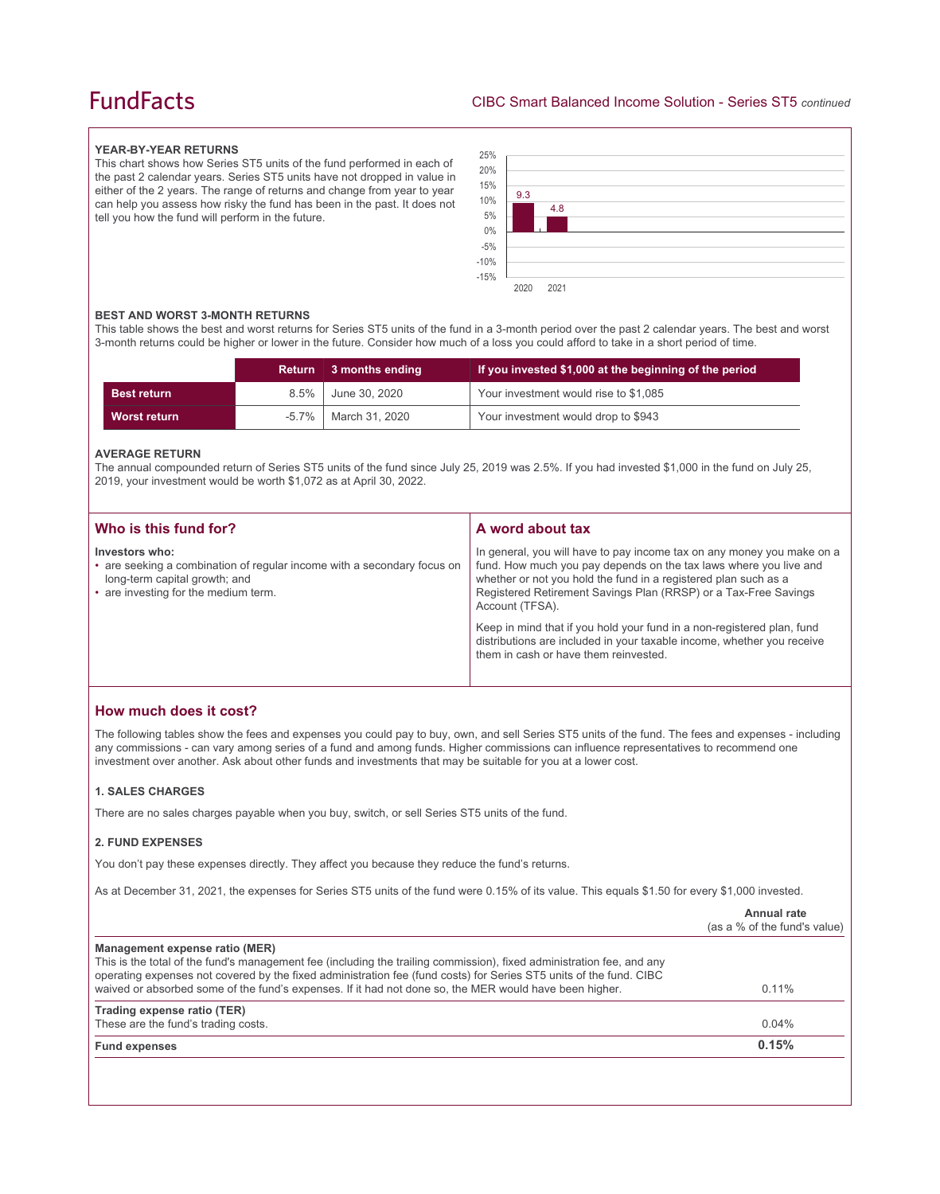## **FundFacts**

#### **YEAR-BY-YEAR RETURNS**

This chart shows how Series ST5 units of the fund performed in each of the past 2 calendar years. Series ST5 units have not dropped in value in either of the 2 years. The range of returns and change from year to year can help you assess how risky the fund has been in the past. It does not tell you how the fund will perform in the future.



#### **BEST AND WORST 3-MONTH RETURNS**

This table shows the best and worst returns for Series ST5 units of the fund in a 3-month period over the past 2 calendar years. The best and worst 3-month returns could be higher or lower in the future. Consider how much of a loss you could afford to take in a short period of time.

|                    |         | Return 3 months ending | If you invested \$1,000 at the beginning of the period |
|--------------------|---------|------------------------|--------------------------------------------------------|
| <b>Best return</b> | $8.5\%$ | June 30, 2020          | Your investment would rise to \$1,085                  |
| Worst return       |         | -5.7%   March 31, 2020 | Your investment would drop to \$943                    |

#### **AVERAGE RETURN**

The annual compounded return of Series ST5 units of the fund since July 25, 2019 was 2.5%. If you had invested \$1,000 in the fund on July 25, 2019, your investment would be worth \$1,072 as at April 30, 2022.

| Who is this fund for?                                                                                                                                              | A word about tax                                                                                                                                                                                                                                                                                     |
|--------------------------------------------------------------------------------------------------------------------------------------------------------------------|------------------------------------------------------------------------------------------------------------------------------------------------------------------------------------------------------------------------------------------------------------------------------------------------------|
| Investors who:<br>• are seeking a combination of regular income with a secondary focus on<br>long-term capital growth; and<br>• are investing for the medium term. | In general, you will have to pay income tax on any money you make on a<br>fund. How much you pay depends on the tax laws where you live and<br>whether or not you hold the fund in a registered plan such as a<br>Registered Retirement Savings Plan (RRSP) or a Tax-Free Savings<br>Account (TFSA). |
|                                                                                                                                                                    | Keep in mind that if you hold your fund in a non-registered plan, fund<br>distributions are included in your taxable income, whether you receive<br>them in cash or have them reinvested.                                                                                                            |

## **How much does it cost?**

The following tables show the fees and expenses you could pay to buy, own, and sell Series ST5 units of the fund. The fees and expenses - including any commissions - can vary among series of a fund and among funds. Higher commissions can influence representatives to recommend one investment over another. Ask about other funds and investments that may be suitable for you at a lower cost.

#### **1. SALES CHARGES**

There are no sales charges payable when you buy, switch, or sell Series ST5 units of the fund.

#### **2. FUND EXPENSES**

You don't pay these expenses directly. They affect you because they reduce the fund's returns.

As at December 31, 2021, the expenses for Series ST5 units of the fund were 0.15% of its value. This equals \$1.50 for every \$1,000 invested.

|                                                                                                                                                                                                                                                                                                                                                                                         | Annual rate<br>(as a % of the fund's value) |
|-----------------------------------------------------------------------------------------------------------------------------------------------------------------------------------------------------------------------------------------------------------------------------------------------------------------------------------------------------------------------------------------|---------------------------------------------|
| Management expense ratio (MER)<br>This is the total of the fund's management fee (including the trailing commission), fixed administration fee, and any<br>operating expenses not covered by the fixed administration fee (fund costs) for Series ST5 units of the fund. CIBC<br>waived or absorbed some of the fund's expenses. If it had not done so, the MER would have been higher. | $0.11\%$                                    |
| Trading expense ratio (TER)<br>These are the fund's trading costs.                                                                                                                                                                                                                                                                                                                      | 0.04%                                       |
| <b>Fund expenses</b>                                                                                                                                                                                                                                                                                                                                                                    | 0.15%                                       |